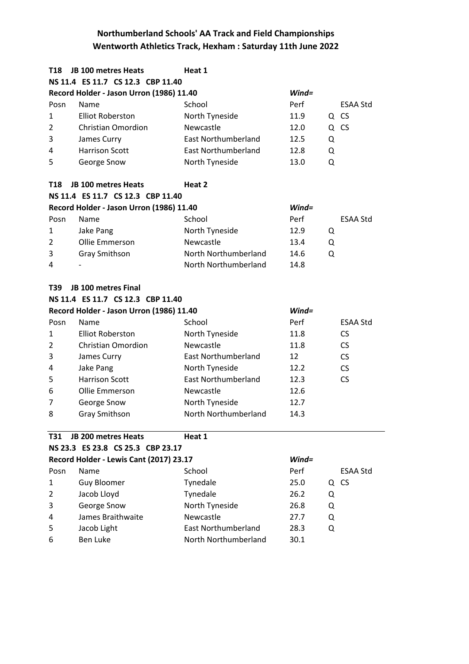| T18            | <b>JB 100 metres Heats</b>               | Heat 1                     |          |   |                 |  |
|----------------|------------------------------------------|----------------------------|----------|---|-----------------|--|
|                | NS 11.4 ES 11.7 CS 12.3 CBP 11.40        |                            |          |   |                 |  |
|                | Record Holder - Jason Urron (1986) 11.40 |                            | $Wind =$ |   |                 |  |
| Posn           | Name                                     | School                     | Perf     |   | ESAA Std        |  |
| 1              | <b>Elliot Roberston</b>                  | North Tyneside             | 11.9     |   | Q CS            |  |
| $\overline{2}$ | <b>Christian Omordion</b>                | Newcastle                  | 12.0     |   | Q CS            |  |
| 3              | James Curry                              | <b>East Northumberland</b> | 12.5     | Q |                 |  |
| 4              | <b>Harrison Scott</b>                    | <b>East Northumberland</b> | 12.8     | Q |                 |  |
| 5              | George Snow                              | North Tyneside             | 13.0     | Q |                 |  |
| T18            | <b>JB 100 metres Heats</b>               | Heat 2                     |          |   |                 |  |
|                | NS 11.4 ES 11.7 CS 12.3 CBP 11.40        |                            |          |   |                 |  |
|                | Record Holder - Jason Urron (1986) 11.40 |                            | $Wind =$ |   |                 |  |
| Posn           | Name                                     | School                     | Perf     |   | <b>ESAA Std</b> |  |
| 1              | Jake Pang                                | North Tyneside             | 12.9     | Q |                 |  |
| $\overline{2}$ | Ollie Emmerson                           | Newcastle                  | 13.4     | Q |                 |  |
| 3              | <b>Gray Smithson</b>                     | North Northumberland       | 14.6     | Q |                 |  |
| 4              |                                          | North Northumberland       | 14.8     |   |                 |  |
| T39            | <b>JB 100 metres Final</b>               |                            |          |   |                 |  |
|                | NS 11.4 ES 11.7 CS 12.3 CBP 11.40        |                            |          |   |                 |  |
|                | Record Holder - Jason Urron (1986) 11.40 |                            | $Wind =$ |   |                 |  |
| Posn           | Name                                     | School                     | Perf     |   | <b>ESAA Std</b> |  |
| 1              | <b>Elliot Roberston</b>                  | North Tyneside             | 11.8     |   | CS              |  |
| $\overline{2}$ | <b>Christian Omordion</b>                | Newcastle                  | 11.8     |   | <b>CS</b>       |  |
| 3              | James Curry                              | <b>East Northumberland</b> | 12       |   | CS              |  |
| 4              | Jake Pang                                | North Tyneside             | 12.2     |   | CS              |  |
| 5              | <b>Harrison Scott</b>                    | <b>East Northumberland</b> | 12.3     |   | <b>CS</b>       |  |
| 6              | Ollie Emmerson                           | Newcastle                  | 12.6     |   |                 |  |
| 7              | George Snow                              | North Tyneside             | 12.7     |   |                 |  |
| 8              | <b>Gray Smithson</b>                     | North Northumberland       | 14.3     |   |                 |  |
| <b>T31</b>     | JB 200 metres Heats                      | Heat 1                     |          |   |                 |  |
|                | NS 23.3 ES 23.8 CS 25.3 CBP 23.17        |                            |          |   |                 |  |
|                | Record Holder - Lewis Cant (2017) 23.17  |                            | $Wind =$ |   |                 |  |
| Posn           | Name                                     | School                     | Perf     |   | ESAA Std        |  |
| 1              | <b>Guy Bloomer</b>                       | Tynedale                   | 25.0     |   | Q CS            |  |
| 2              | Jacob Lloyd                              | Tynedale                   | 26.2     | Q |                 |  |
| 3              | George Snow                              | North Tyneside             | 26.8     | Q |                 |  |
| 4              | James Braithwaite                        | Newcastle                  | 27.7     | Q |                 |  |
| 5              | Jacob Light                              | <b>East Northumberland</b> | 28.3     | Q |                 |  |

6 1 Ben Luke 1997 North Northumberland 30.1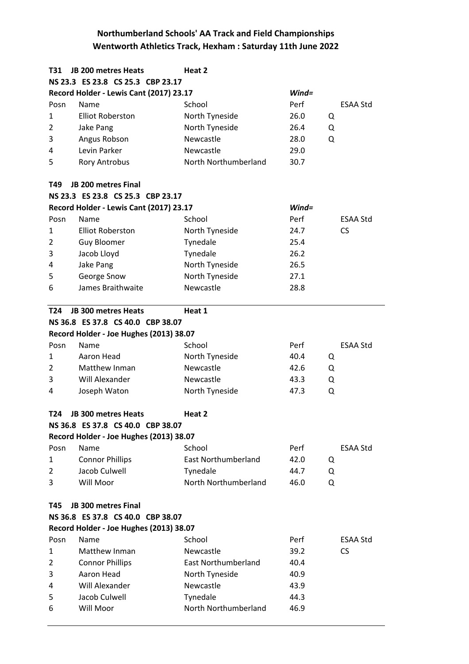| T31             | JB 200 metres Heats                     | Heat 2                     |           |                 |
|-----------------|-----------------------------------------|----------------------------|-----------|-----------------|
|                 | NS 23.3 ES 23.8 CS 25.3 CBP 23.17       |                            |           |                 |
|                 | Record Holder - Lewis Cant (2017) 23.17 |                            | $Wind =$  |                 |
| Posn            | Name                                    | School                     | Perf      | <b>ESAA Std</b> |
| 1               | <b>Elliot Roberston</b>                 | North Tyneside             | 26.0<br>Q |                 |
| 2               | Jake Pang                               | North Tyneside             | 26.4<br>Q |                 |
| 3               | Angus Robson                            | Newcastle                  | 28.0<br>Q |                 |
| 4               | Levin Parker                            | Newcastle                  | 29.0      |                 |
| 5               | <b>Rory Antrobus</b>                    | North Northumberland       | 30.7      |                 |
| T49             | JB 200 metres Final                     |                            |           |                 |
|                 | NS 23.3 ES 23.8 CS 25.3 CBP 23.17       |                            |           |                 |
|                 | Record Holder - Lewis Cant (2017) 23.17 |                            | $Wind =$  |                 |
| Posn            | Name                                    | School                     | Perf      | <b>ESAA Std</b> |
| $\mathbf{1}$    | <b>Elliot Roberston</b>                 | North Tyneside             | 24.7      | <b>CS</b>       |
| $\overline{2}$  | <b>Guy Bloomer</b>                      | Tynedale                   | 25.4      |                 |
| 3               | Jacob Lloyd                             | Tynedale                   | 26.2      |                 |
| 4               | Jake Pang                               | North Tyneside             | 26.5      |                 |
| 5               | George Snow                             | North Tyneside             | 27.1      |                 |
| 6               | James Braithwaite                       | Newcastle                  | 28.8      |                 |
| T24             | <b>JB 300 metres Heats</b>              | Heat 1                     |           |                 |
|                 | NS 36.8 ES 37.8 CS 40.0 CBP 38.07       |                            |           |                 |
|                 | Record Holder - Joe Hughes (2013) 38.07 |                            |           |                 |
| Posn            | Name                                    | School                     | Perf      | <b>ESAA Std</b> |
| 1               | Aaron Head                              | North Tyneside             | 40.4<br>Q |                 |
| 2               | Matthew Inman                           | Newcastle                  | 42.6<br>Q |                 |
| 3               | Will Alexander                          | Newcastle                  | 43.3<br>Q |                 |
| 4               | Joseph Waton                            | North Tyneside             | 47.3<br>Q |                 |
| T <sub>24</sub> | <b>JB 300 metres Heats</b>              | Heat 2                     |           |                 |
|                 | NS 36.8 ES 37.8 CS 40.0 CBP 38.07       |                            |           |                 |
|                 | Record Holder - Joe Hughes (2013) 38.07 |                            |           |                 |
| Posn            | Name                                    | School                     | Perf      | <b>ESAA Std</b> |
| 1               | <b>Connor Phillips</b>                  | <b>East Northumberland</b> | 42.0<br>Q |                 |
| 2               | Jacob Culwell                           | Tynedale                   | 44.7<br>Q |                 |
| 3               | Will Moor                               | North Northumberland       | 46.0<br>Q |                 |
| T45             | <b>JB 300 metres Final</b>              |                            |           |                 |
|                 | NS 36.8 ES 37.8 CS 40.0 CBP 38.07       |                            |           |                 |
|                 | Record Holder - Joe Hughes (2013) 38.07 |                            |           |                 |
| Posn            | Name                                    | School                     | Perf      | <b>ESAA Std</b> |
| 1               | Matthew Inman                           | Newcastle                  | 39.2      | <b>CS</b>       |
| 2               | <b>Connor Phillips</b>                  | <b>East Northumberland</b> | 40.4      |                 |
| 3               | Aaron Head                              | North Tyneside             | 40.9      |                 |
| 4               | Will Alexander                          | Newcastle                  | 43.9      |                 |
| 5               | Jacob Culwell                           | Tynedale                   | 44.3      |                 |
| 6               | Will Moor                               | North Northumberland       | 46.9      |                 |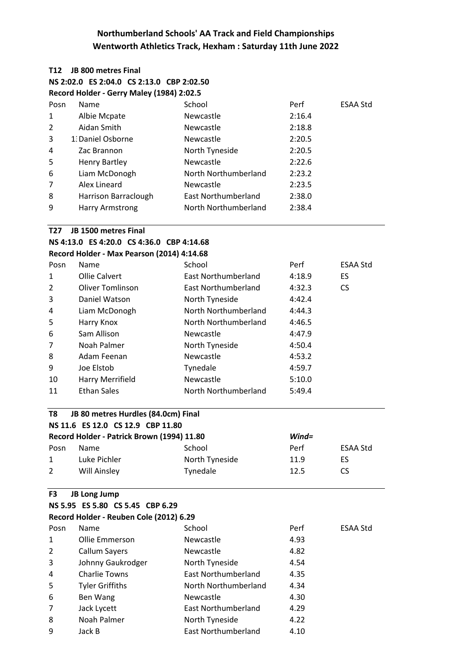### **T12 JB 800 metres Final NS 2:02.0 ES 2:04.0 CS 2:13.0 CBP 2:02.50 Record Holder - Gerry Maley (1984) 2:02.5**

| Posn           | Name                   | School               | Perf   | <b>ESAA Std</b> |
|----------------|------------------------|----------------------|--------|-----------------|
| 1              | Albie Mcpate           | <b>Newcastle</b>     | 2:16.4 |                 |
| $\overline{2}$ | Aidan Smith            | Newcastle            | 2:18.8 |                 |
| 3              | 1. Daniel Osborne      | Newcastle            | 2:20.5 |                 |
| 4              | Zac Brannon            | North Tyneside       | 2:20.5 |                 |
| 5              | <b>Henry Bartley</b>   | Newcastle            | 2:22.6 |                 |
| 6              | Liam McDonogh          | North Northumberland | 2:23.2 |                 |
| $\overline{7}$ | Alex Lineard           | <b>Newcastle</b>     | 2:23.5 |                 |
| 8              | Harrison Barraclough   | East Northumberland  | 2:38.0 |                 |
| 9              | <b>Harry Armstrong</b> | North Northumberland | 2:38.4 |                 |
|                |                        |                      |        |                 |

#### **T27 JB 1500 metres Final**

**NS 4:13.0 ES 4:20.0 CS 4:36.0 CBP 4:14.68**

**Record Holder - Max Pearson (2014) 4:14.68**

| Posn           | <b>Name</b>             | School               | Perf   | <b>ESAA Std</b> |
|----------------|-------------------------|----------------------|--------|-----------------|
| 1              | <b>Ollie Calvert</b>    | East Northumberland  | 4:18.9 | ES              |
| $\overline{2}$ | <b>Oliver Tomlinson</b> | East Northumberland  | 4:32.3 | CS.             |
| 3              | Daniel Watson           | North Tyneside       | 4:42.4 |                 |
| 4              | Liam McDonogh           | North Northumberland | 4:44.3 |                 |
| 5              | Harry Knox              | North Northumberland | 4:46.5 |                 |
| 6              | Sam Allison             | <b>Newcastle</b>     | 4:47.9 |                 |
| 7              | Noah Palmer             | North Tyneside       | 4:50.4 |                 |
| 8              | Adam Feenan             | <b>Newcastle</b>     | 4:53.2 |                 |
| 9              | Joe Elstob              | Tynedale             | 4:59.7 |                 |
| 10             | Harry Merrifield        | Newcastle            | 5:10.0 |                 |
| 11             | <b>Ethan Sales</b>      | North Northumberland | 5:49.4 |                 |

### **T8 JB 80 metres Hurdles (84.0cm) Final NS 11.6 ES 12.0 CS 12.9 CBP 11.80**

| Record Holder - Patrick Brown (1994) 11.80 |              |                | $Wind =$ |          |
|--------------------------------------------|--------------|----------------|----------|----------|
| Posn                                       | <b>Name</b>  | School         | Perf     | ESAA Std |
| $\mathbf{1}$                               | Luke Pichler | North Tyneside | 11.9     | ES       |
| 2                                          | Will Ainsley | Tynedale       | 12.5     | CS       |

#### **F3 JB Long Jump**

| NS 5.95 ES 5.80 CS 5.45 CBP 6.29        |  |  |
|-----------------------------------------|--|--|
| Record Holder - Reuben Cole (2012) 6.29 |  |  |

| Posn | <b>Name</b>            | School               | Perf | <b>ESAA Std</b> |
|------|------------------------|----------------------|------|-----------------|
| 1    | Ollie Emmerson         | Newcastle            | 4.93 |                 |
| 2    | <b>Callum Sayers</b>   | <b>Newcastle</b>     | 4.82 |                 |
| 3    | Johnny Gaukrodger      | North Tyneside       | 4.54 |                 |
| 4    | <b>Charlie Towns</b>   | East Northumberland  | 4.35 |                 |
| 5    | <b>Tyler Griffiths</b> | North Northumberland | 4.34 |                 |
| 6    | Ben Wang               | <b>Newcastle</b>     | 4.30 |                 |
| 7    | Jack Lycett            | East Northumberland  | 4.29 |                 |
| 8    | Noah Palmer            | North Tyneside       | 4.22 |                 |
| 9    | Jack B                 | East Northumberland  | 4.10 |                 |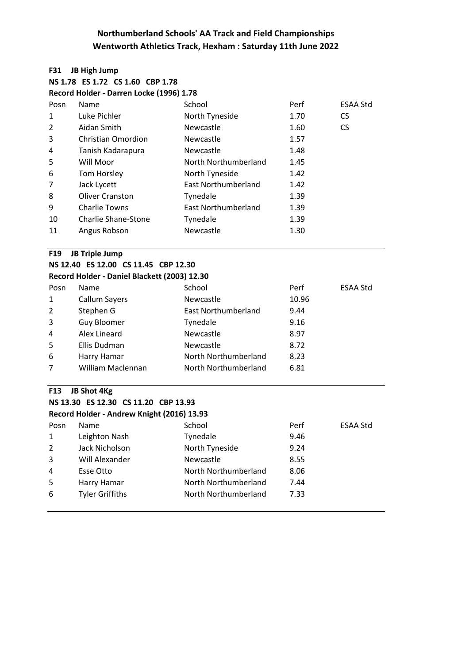#### **F31 JB High Jump**

**NS 1.78 ES 1.72 CS 1.60 CBP 1.78 Record Holder - Darren Locke (1996) 1.78**

|      | Record Holder - Darren Locke (1990) 1.76 |                      |      |                 |  |  |
|------|------------------------------------------|----------------------|------|-----------------|--|--|
| Posn | Name                                     | School               | Perf | <b>ESAA Std</b> |  |  |
| 1    | Luke Pichler                             | North Tyneside       | 1.70 | <b>CS</b>       |  |  |
| 2    | Aidan Smith                              | Newcastle            | 1.60 | <b>CS</b>       |  |  |
| 3    | <b>Christian Omordion</b>                | Newcastle            | 1.57 |                 |  |  |
| 4    | Tanish Kadarapura                        | Newcastle            | 1.48 |                 |  |  |
| 5    | Will Moor                                | North Northumberland | 1.45 |                 |  |  |
| 6    | Tom Horsley                              | North Tyneside       | 1.42 |                 |  |  |
| 7    | Jack Lycett                              | East Northumberland  | 1.42 |                 |  |  |
| 8    | <b>Oliver Cranston</b>                   | Tynedale             | 1.39 |                 |  |  |
| 9    | <b>Charlie Towns</b>                     | East Northumberland  | 1.39 |                 |  |  |
| 10   | <b>Charlie Shane-Stone</b>               | Tynedale             | 1.39 |                 |  |  |
| 11   | Angus Robson                             | Newcastle            | 1.30 |                 |  |  |
|      |                                          |                      |      |                 |  |  |

### **F19 JB Triple Jump**

### **NS 12.40 ES 12.00 CS 11.45 CBP 12.30 Record Holder - Daniel Blackett (2003) 12.30**

| Posn           | Name                 | School               | Perf  | <b>ESAA Std</b> |
|----------------|----------------------|----------------------|-------|-----------------|
| 1              | <b>Callum Sayers</b> | Newcastle            | 10.96 |                 |
| $\overline{2}$ | Stephen G            | East Northumberland  | 9.44  |                 |
| 3              | <b>Guy Bloomer</b>   | Tynedale             | 9.16  |                 |
| 4              | Alex Lineard         | Newcastle            | 8.97  |                 |
| 5              | Ellis Dudman         | Newcastle            | 8.72  |                 |
| 6              | Harry Hamar          | North Northumberland | 8.23  |                 |
| 7              | William Maclennan    | North Northumberland | 6.81  |                 |

#### **F13 JB Shot 4Kg**

### **NS 13.30 ES 12.30 CS 11.20 CBP 13.93 Record Holder - Andrew Knight (2016) 13.93**

| Posn | Name                   | School               | Perf | ESAA Std |
|------|------------------------|----------------------|------|----------|
| 1    | Leighton Nash          | Tynedale             | 9.46 |          |
| 2    | Jack Nicholson         | North Tyneside       | 9.24 |          |
| 3    | Will Alexander         | Newcastle            | 8.55 |          |
| 4    | Esse Otto              | North Northumberland | 8.06 |          |
| -5   | Harry Hamar            | North Northumberland | 7.44 |          |
| 6    | <b>Tyler Griffiths</b> | North Northumberland | 7.33 |          |
|      |                        |                      |      |          |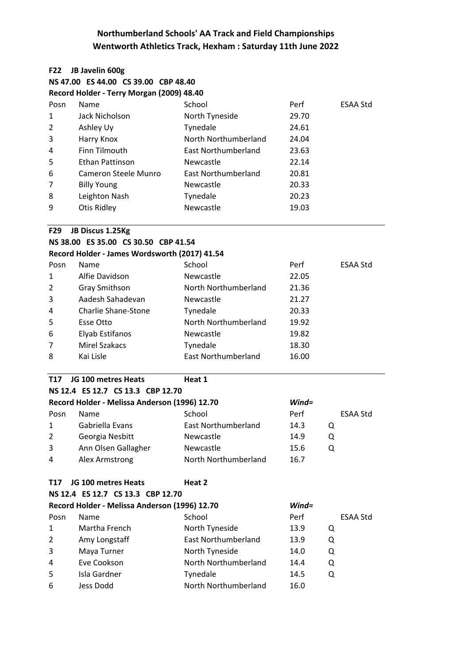| <b>F22</b>     | JB Javelin 600g                               |                            |          |                 |  |  |
|----------------|-----------------------------------------------|----------------------------|----------|-----------------|--|--|
|                | NS 47.00 ES 44.00 CS 39.00 CBP 48.40          |                            |          |                 |  |  |
|                | Record Holder - Terry Morgan (2009) 48.40     |                            |          |                 |  |  |
| Posn           | Name                                          | School                     | Perf     | ESAA Std        |  |  |
| 1              | Jack Nicholson                                | North Tyneside             | 29.70    |                 |  |  |
| $\overline{2}$ | Ashley Uy                                     | Tynedale                   | 24.61    |                 |  |  |
| 3              | Harry Knox                                    | North Northumberland       | 24.04    |                 |  |  |
| 4              | Finn Tilmouth                                 | <b>East Northumberland</b> | 23.63    |                 |  |  |
| 5              | Ethan Pattinson                               | Newcastle                  | 22.14    |                 |  |  |
| 6              | <b>Cameron Steele Munro</b>                   | <b>East Northumberland</b> | 20.81    |                 |  |  |
| 7              | <b>Billy Young</b>                            | Newcastle                  | 20.33    |                 |  |  |
| 8              | Leighton Nash                                 | Tynedale                   | 20.23    |                 |  |  |
| 9              | <b>Otis Ridley</b>                            | Newcastle                  | 19.03    |                 |  |  |
| <b>F29</b>     | JB Discus 1.25Kg                              |                            |          |                 |  |  |
|                | NS 38.00 ES 35.00 CS 30.50 CBP 41.54          |                            |          |                 |  |  |
|                | Record Holder - James Wordsworth (2017) 41.54 |                            |          |                 |  |  |
| Posn           | Name                                          | School                     | Perf     | <b>ESAA Std</b> |  |  |
| 1              | Alfie Davidson                                | Newcastle                  | 22.05    |                 |  |  |
| 2              | Gray Smithson                                 | North Northumberland       | 21.36    |                 |  |  |
| 3              | Aadesh Sahadevan                              | Newcastle                  | 21.27    |                 |  |  |
| 4              | <b>Charlie Shane-Stone</b>                    | Tynedale                   | 20.33    |                 |  |  |
| 5              | <b>Esse Otto</b>                              | North Northumberland       | 19.92    |                 |  |  |
| 6              | Elyab Estifanos                               | Newcastle                  | 19.82    |                 |  |  |
| 7              | <b>Mirel Szakacs</b>                          | Tynedale                   | 18.30    |                 |  |  |
| 8              | Kai Lisle                                     | <b>East Northumberland</b> | 16.00    |                 |  |  |
| T17            | JG 100 metres Heats                           | Heat 1                     |          |                 |  |  |
|                | NS 12.4 ES 12.7 CS 13.3 CBP 12.70             |                            |          |                 |  |  |
|                | Record Holder - Melissa Anderson (1996) 12.70 |                            | $Wind =$ |                 |  |  |
| Posn           | Name                                          | School                     | Perf     | ESAA Std        |  |  |
| 1              | Gabriella Evans                               | <b>East Northumberland</b> | 14.3     | Q               |  |  |
| 2              | Georgia Nesbitt                               | Newcastle                  | 14.9     | Q               |  |  |
| 3              | Ann Olsen Gallagher                           | Newcastle                  | 15.6     | Q               |  |  |
| 4              | Alex Armstrong                                | North Northumberland       | 16.7     |                 |  |  |
| <b>T17</b>     | JG 100 metres Heats                           | Heat 2                     |          |                 |  |  |
|                | NS 12.4 ES 12.7 CS 13.3 CBP 12.70             |                            |          |                 |  |  |
|                | Record Holder - Melissa Anderson (1996) 12.70 |                            | $Wind =$ |                 |  |  |
| Posn           | Name                                          | School                     | Perf     | ESAA Std        |  |  |
| 1              | Martha French                                 | North Tyneside             | 13.9     | Q               |  |  |
| 2              | Amy Longstaff                                 | <b>East Northumberland</b> | 13.9     | Q               |  |  |
| 3              | Maya Turner                                   | North Tyneside             | 14.0     | Q               |  |  |
| 4              | Eve Cookson                                   | North Northumberland       | 14.4     | Q               |  |  |
| 5              | Isla Gardner                                  | Tynedale                   | 14.5     | Q               |  |  |
| 6              | Jess Dodd                                     | North Northumberland       | 16.0     |                 |  |  |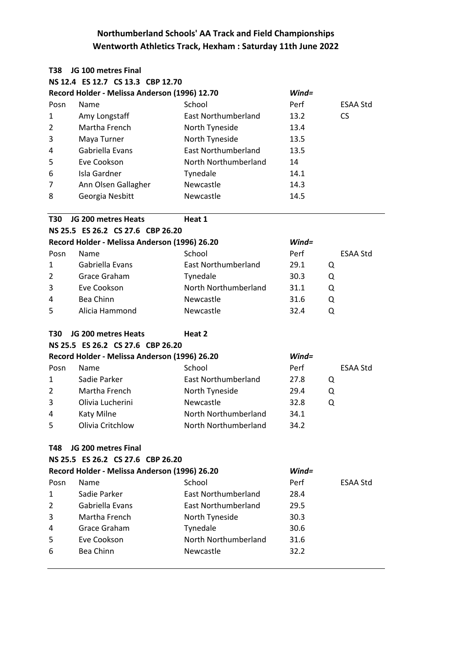| T38            | JG 100 metres Final                           |                            |          |                 |
|----------------|-----------------------------------------------|----------------------------|----------|-----------------|
|                | NS 12.4 ES 12.7 CS 13.3 CBP 12.70             |                            |          |                 |
|                | Record Holder - Melissa Anderson (1996) 12.70 |                            | $Wind =$ |                 |
| Posn           | Name                                          | School                     | Perf     | <b>ESAA Std</b> |
| 1              | Amy Longstaff                                 | <b>East Northumberland</b> | 13.2     | CS.             |
| $\overline{2}$ | Martha French                                 | North Tyneside             | 13.4     |                 |
| 3              | Maya Turner                                   | North Tyneside             | 13.5     |                 |
| 4              | Gabriella Evans                               | <b>East Northumberland</b> | 13.5     |                 |
| 5              | Eve Cookson                                   | North Northumberland       | 14       |                 |
| 6              | Isla Gardner                                  | Tynedale                   | 14.1     |                 |
| 7              | Ann Olsen Gallagher                           | Newcastle                  | 14.3     |                 |
| 8              | Georgia Nesbitt                               | Newcastle                  | 14.5     |                 |
| T30            | JG 200 metres Heats                           | Heat 1                     |          |                 |
|                | NS 25.5 ES 26.2 CS 27.6 CBP 26.20             |                            |          |                 |
|                | Record Holder - Melissa Anderson (1996) 26.20 |                            | $Wind =$ |                 |
| Posn           | Name                                          | School                     | Perf     | <b>ESAA Std</b> |
| $\mathbf{1}$   | Gabriella Evans                               | <b>East Northumberland</b> | 29.1     | Q               |
| 2              | Grace Graham                                  | Tynedale                   | 30.3     | Q               |
| 3              | Eve Cookson                                   | North Northumberland       | 31.1     | Q               |
| 4              | Bea Chinn                                     | Newcastle                  | 31.6     | Q               |
| 5              | Alicia Hammond                                | Newcastle                  | 32.4     | Q               |
| T30            | JG 200 metres Heats                           | Heat 2                     |          |                 |
|                | NS 25.5 ES 26.2 CS 27.6 CBP 26.20             |                            |          |                 |
|                | Record Holder - Melissa Anderson (1996) 26.20 |                            | $Wind =$ |                 |
| Posn           | Name                                          | School                     | Perf     | <b>ESAA Std</b> |
| 1              | Sadie Parker                                  | <b>East Northumberland</b> | 27.8     | Q               |
| 2              | Martha French                                 | North Tyneside             | 29.4     | Q               |
| 3              | Olivia Lucherini                              | Newcastle                  | 32.8     | Q               |
| 4              | Katy Milne                                    | North Northumberland       | 34.1     |                 |
| 5              | Olivia Critchlow                              | North Northumberland       | 34.2     |                 |
| T48            | JG 200 metres Final                           |                            |          |                 |
|                | NS 25.5 ES 26.2 CS 27.6 CBP 26.20             |                            |          |                 |
|                | Record Holder - Melissa Anderson (1996) 26.20 |                            | $Wind =$ |                 |
| Posn           | Name                                          | School                     | Perf     | ESAA Std        |
| 1              | Sadie Parker                                  | East Northumberland        | 28.4     |                 |
| $\overline{2}$ | Gabriella Evans                               | <b>East Northumberland</b> | 29.5     |                 |
| 3              | Martha French                                 | North Tyneside             | 30.3     |                 |
| 4              | Grace Graham                                  | Tynedale                   | 30.6     |                 |
| 5              | Eve Cookson                                   | North Northumberland       | 31.6     |                 |
| 6              | Bea Chinn                                     | Newcastle                  | 32.2     |                 |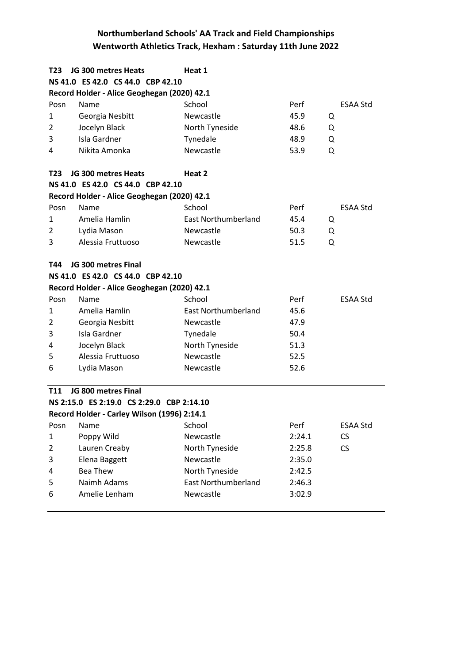| T23            | JG 300 metres Heats                         | Heat 1                     |        |                 |
|----------------|---------------------------------------------|----------------------------|--------|-----------------|
|                | NS 41.0 ES 42.0 CS 44.0 CBP 42.10           |                            |        |                 |
|                | Record Holder - Alice Geoghegan (2020) 42.1 |                            |        |                 |
| Posn           | Name                                        | School                     | Perf   | <b>ESAA Std</b> |
| 1              | Georgia Nesbitt                             | Newcastle                  | 45.9   | Q               |
| $\overline{2}$ | Jocelyn Black                               | North Tyneside             | 48.6   | Q               |
| 3              | Isla Gardner                                | Tynedale                   | 48.9   | Q               |
| 4              | Nikita Amonka                               | Newcastle                  | 53.9   | Q               |
| T23            | JG 300 metres Heats                         | Heat 2                     |        |                 |
|                | NS 41.0 ES 42.0 CS 44.0 CBP 42.10           |                            |        |                 |
|                | Record Holder - Alice Geoghegan (2020) 42.1 |                            |        |                 |
| Posn           | Name                                        | School                     | Perf   | <b>ESAA Std</b> |
| 1              | Amelia Hamlin                               | <b>East Northumberland</b> | 45.4   | Q               |
| $\overline{2}$ | Lydia Mason                                 | Newcastle                  | 50.3   | Q               |
| 3              | Alessia Fruttuoso                           | Newcastle                  | 51.5   | Q               |
| T44            | JG 300 metres Final                         |                            |        |                 |
|                | NS 41.0 ES 42.0 CS 44.0 CBP 42.10           |                            |        |                 |
|                | Record Holder - Alice Geoghegan (2020) 42.1 |                            |        |                 |
| Posn           | Name                                        | School                     | Perf   | <b>ESAA Std</b> |
| 1              | Amelia Hamlin                               | <b>East Northumberland</b> | 45.6   |                 |
| $\overline{2}$ | Georgia Nesbitt                             | Newcastle                  | 47.9   |                 |
| 3              | Isla Gardner                                | Tynedale                   | 50.4   |                 |
| 4              | Jocelyn Black                               | North Tyneside             | 51.3   |                 |
| 5              | Alessia Fruttuoso                           | Newcastle                  | 52.5   |                 |
| 6              | Lydia Mason                                 | Newcastle                  | 52.6   |                 |
| T11            | JG 800 metres Final                         |                            |        |                 |
|                | NS 2:15.0 ES 2:19.0 CS 2:29.0 CBP 2:14.10   |                            |        |                 |
|                | Record Holder - Carley Wilson (1996) 2:14.1 |                            |        |                 |
| Posn           | Name                                        | School                     | Perf   | <b>ESAA Std</b> |
| $\mathbf{1}$   | Poppy Wild                                  | Newcastle                  | 2:24.1 | <b>CS</b>       |
| $\overline{2}$ | Lauren Creaby                               | North Tyneside             | 2:25.8 | CS              |
| 3              | Elena Baggett                               | Newcastle                  | 2:35.0 |                 |
| 4              | <b>Bea Thew</b>                             | North Tyneside             | 2:42.5 |                 |
| 5              | Naimh Adams                                 | <b>East Northumberland</b> | 2:46.3 |                 |
| 6              | Amelie Lenham                               | Newcastle                  | 3:02.9 |                 |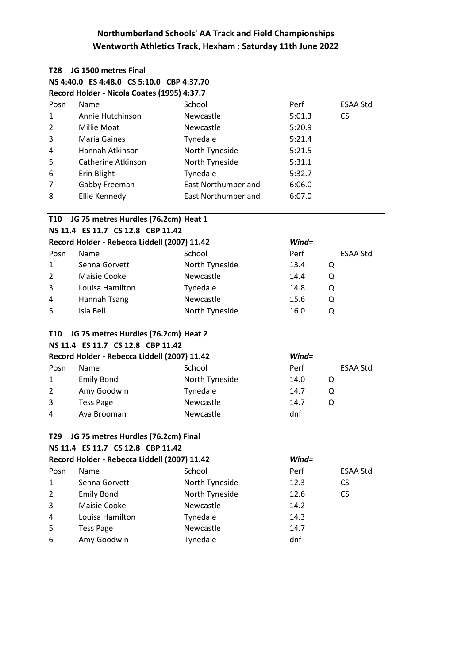| T28            | JG 1500 metres Final                         |                            |          |           |  |  |  |
|----------------|----------------------------------------------|----------------------------|----------|-----------|--|--|--|
|                | NS 4:40.0 ES 4:48.0 CS 5:10.0 CBP 4:37.70    |                            |          |           |  |  |  |
|                | Record Holder - Nicola Coates (1995) 4:37.7  |                            |          |           |  |  |  |
| Posn           | Name                                         | School                     | Perf     | ESAA Std  |  |  |  |
| $\mathbf{1}$   | Annie Hutchinson                             | Newcastle                  | 5:01.3   | <b>CS</b> |  |  |  |
| 2              | Millie Moat                                  | Newcastle                  | 5:20.9   |           |  |  |  |
| 3              | <b>Maria Gaines</b>                          | Tynedale                   | 5:21.4   |           |  |  |  |
| 4              | Hannah Atkinson                              | North Tyneside             | 5:21.5   |           |  |  |  |
| 5              | Catherine Atkinson                           | North Tyneside             | 5:31.1   |           |  |  |  |
| 6              | Erin Blight                                  | Tynedale                   | 5:32.7   |           |  |  |  |
| 7              | Gabby Freeman                                | <b>East Northumberland</b> | 6:06.0   |           |  |  |  |
| 8              | Ellie Kennedy                                | <b>East Northumberland</b> | 6:07.0   |           |  |  |  |
| <b>T10</b>     | JG 75 metres Hurdles (76.2cm) Heat 1         |                            |          |           |  |  |  |
|                | NS 11.4 ES 11.7 CS 12.8 CBP 11.42            |                            |          |           |  |  |  |
|                | Record Holder - Rebecca Liddell (2007) 11.42 |                            | $Wind =$ |           |  |  |  |
| Posn           | Name                                         | School                     | Perf     | ESAA Std  |  |  |  |
| $\mathbf{1}$   | Senna Gorvett                                | North Tyneside             | 13.4     | Q         |  |  |  |
| $\overline{2}$ | Maisie Cooke                                 | Newcastle                  | 14.4     | Q         |  |  |  |
| 3              | Louisa Hamilton                              | Tynedale                   | 14.8     | Q         |  |  |  |
| 4              | <b>Hannah Tsang</b>                          | Newcastle                  | 15.6     | Q         |  |  |  |
| 5              | Isla Bell                                    | North Tyneside             | 16.0     | Q         |  |  |  |
| <b>T10</b>     | JG 75 metres Hurdles (76.2cm) Heat 2         |                            |          |           |  |  |  |
|                | NS 11.4 ES 11.7 CS 12.8 CBP 11.42            |                            |          |           |  |  |  |
|                | Record Holder - Rebecca Liddell (2007) 11.42 |                            | $Wind =$ |           |  |  |  |
| Posn           | Name                                         | School                     | Perf     | ESAA Std  |  |  |  |
| 1              | <b>Emily Bond</b>                            | North Tyneside             | 14.0     | Q         |  |  |  |
| 2              | Amy Goodwin                                  | Tynedale                   | 14.7     | Q         |  |  |  |
| 3              | <b>Tess Page</b>                             | Newcastle                  | 14.7     | Q         |  |  |  |
| 4              | Ava Brooman                                  | Newcastle                  | dnf      |           |  |  |  |
| T29            | JG 75 metres Hurdles (76.2cm) Final          |                            |          |           |  |  |  |
|                | NS 11.4 ES 11.7 CS 12.8 CBP 11.42            |                            |          |           |  |  |  |
|                | Record Holder - Rebecca Liddell (2007) 11.42 |                            | $Wind =$ |           |  |  |  |
| Posn           | Name                                         | School                     | Perf     | ESAA Std  |  |  |  |
| 1              | Senna Gorvett                                | North Tyneside             | 12.3     | CS.       |  |  |  |
| $\overline{2}$ | <b>Emily Bond</b>                            | North Tyneside             | 12.6     | <b>CS</b> |  |  |  |
| 3              | Maisie Cooke                                 | Newcastle                  | 14.2     |           |  |  |  |
| 4              | Louisa Hamilton                              | Tynedale                   | 14.3     |           |  |  |  |
| 5              | <b>Tess Page</b>                             | Newcastle                  | 14.7     |           |  |  |  |
| 6              | Amy Goodwin                                  | Tynedale                   | dnf      |           |  |  |  |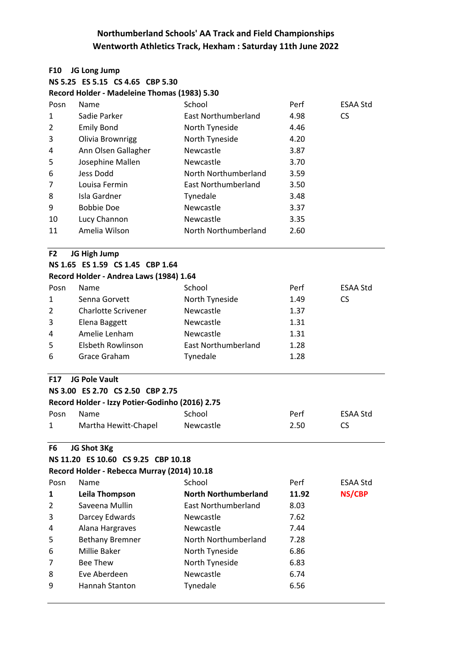#### **F10 JG Long Jump**

|  | NS 5.25 ES 5.15 CS 4.65 CBP 5.30 |  |
|--|----------------------------------|--|
|  |                                  |  |

**Record Holder - Madeleine Thomas (1983) 5.30**

| Posn           | <b>Name</b>         | School               | Perf | <b>ESAA Std</b> |
|----------------|---------------------|----------------------|------|-----------------|
| 1              | Sadie Parker        | East Northumberland  | 4.98 | CS.             |
| $\overline{2}$ | <b>Emily Bond</b>   | North Tyneside       | 4.46 |                 |
| 3              | Olivia Brownrigg    | North Tyneside       | 4.20 |                 |
| 4              | Ann Olsen Gallagher | Newcastle            | 3.87 |                 |
| 5              | Josephine Mallen    | Newcastle            | 3.70 |                 |
| 6              | Jess Dodd           | North Northumberland | 3.59 |                 |
| 7              | Louisa Fermin       | East Northumberland  | 3.50 |                 |
| 8              | Isla Gardner        | Tynedale             | 3.48 |                 |
| 9              | Bobbie Doe          | Newcastle            | 3.37 |                 |
| 10             | Lucy Channon        | Newcastle            | 3.35 |                 |
| 11             | Amelia Wilson       | North Northumberland | 2.60 |                 |
|                |                     |                      |      |                 |

#### **F2 JG High Jump**

### **NS 1.65 ES 1.59 CS 1.45 CBP 1.64 Record Holder - Andrea Laws (1984) 1.64**

| Posn         | <b>Name</b>                | School              | Perf | ESAA Std |
|--------------|----------------------------|---------------------|------|----------|
| $\mathbf{1}$ | Senna Gorvett              | North Tyneside      | 1.49 | CS       |
| 2            | <b>Charlotte Scrivener</b> | Newcastle           | 1.37 |          |
| 3            | Elena Baggett              | <b>Newcastle</b>    | 1.31 |          |
| 4            | Amelie Lenham              | Newcastle           | 1.31 |          |
| 5            | Elsbeth Rowlinson          | East Northumberland | 1.28 |          |
| 6            | Grace Graham               | Tynedale            | 1.28 |          |

### **F17 JG Pole Vault**

|  | NS 3.00 ES 2.70 CS 2.50 CBP 2.75                |  |
|--|-------------------------------------------------|--|
|  | Record Holder - Izzy Potier-Godinho (2016) 2.75 |  |

| Posn | – Name               | School    | Perf | ESAA Std |
|------|----------------------|-----------|------|----------|
|      | Martha Hewitt-Chapel | Newcastle | 2.50 |          |

### **F6 JG Shot 3Kg**

### **NS 11.20 ES 10.60 CS 9.25 CBP 10.18**

| Record Holder - Rebecca Murray (2014) 10.18 |  |  |  |  |
|---------------------------------------------|--|--|--|--|
|---------------------------------------------|--|--|--|--|

| Name                   | School                      | Perf  | <b>ESAA Std</b> |
|------------------------|-----------------------------|-------|-----------------|
| Leila Thompson         | <b>North Northumberland</b> | 11.92 | NS/CBP          |
| Saveena Mullin         | East Northumberland         | 8.03  |                 |
| Darcey Edwards         | <b>Newcastle</b>            | 7.62  |                 |
| Alana Hargraves        | <b>Newcastle</b>            | 7.44  |                 |
| <b>Bethany Bremner</b> | North Northumberland        | 7.28  |                 |
| Millie Baker           | North Tyneside              | 6.86  |                 |
| <b>Bee Thew</b>        | North Tyneside              | 6.83  |                 |
| Eve Aberdeen           | Newcastle                   | 6.74  |                 |
| Hannah Stanton         | Tynedale                    | 6.56  |                 |
|                        |                             |       |                 |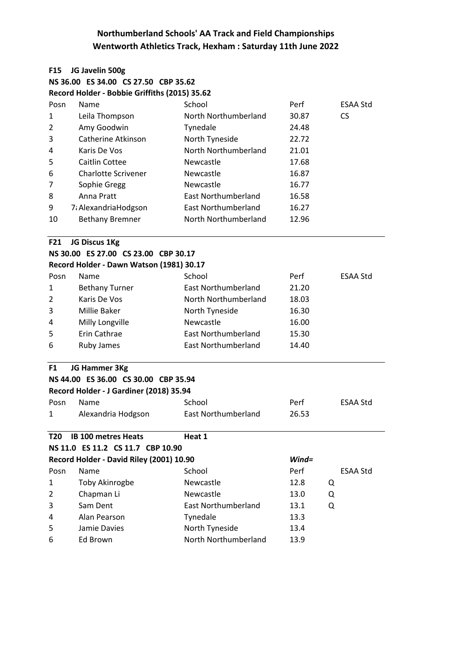| <b>F15</b>     | JG Javelin 500g                               |                            |          |                 |
|----------------|-----------------------------------------------|----------------------------|----------|-----------------|
|                | NS 36.00 ES 34.00 CS 27.50 CBP 35.62          |                            |          |                 |
|                | Record Holder - Bobbie Griffiths (2015) 35.62 |                            |          |                 |
| Posn           | Name                                          | School                     | Perf     | <b>ESAA Std</b> |
| 1              | Leila Thompson                                | North Northumberland       | 30.87    | <b>CS</b>       |
| 2              | Amy Goodwin                                   | Tynedale                   | 24.48    |                 |
| 3              | Catherine Atkinson                            | North Tyneside             | 22.72    |                 |
| 4              | Karis De Vos                                  | North Northumberland       | 21.01    |                 |
| 5              | Caitlin Cottee                                | Newcastle                  | 17.68    |                 |
| 6              | <b>Charlotte Scrivener</b>                    | Newcastle                  | 16.87    |                 |
| 7              | Sophie Gregg                                  | Newcastle                  | 16.77    |                 |
| 8              | Anna Pratt                                    | <b>East Northumberland</b> | 16.58    |                 |
| 9              | 7: AlexandriaHodgson                          | <b>East Northumberland</b> | 16.27    |                 |
| 10             | <b>Bethany Bremner</b>                        | North Northumberland       | 12.96    |                 |
| F21            | JG Discus 1Kg                                 |                            |          |                 |
|                | NS 30.00 ES 27.00 CS 23.00 CBP 30.17          |                            |          |                 |
|                | Record Holder - Dawn Watson (1981) 30.17      |                            |          |                 |
| Posn           | Name                                          | School                     | Perf     | <b>ESAA Std</b> |
| 1              | <b>Bethany Turner</b>                         | East Northumberland        | 21.20    |                 |
| $\overline{2}$ | Karis De Vos                                  | North Northumberland       | 18.03    |                 |
| 3              | Millie Baker                                  | North Tyneside             | 16.30    |                 |
| 4              | Milly Longville                               | Newcastle                  | 16.00    |                 |
| 5              | Erin Cathrae                                  | <b>East Northumberland</b> | 15.30    |                 |
| 6              | Ruby James                                    | East Northumberland        | 14.40    |                 |
| F1             | JG Hammer 3Kg                                 |                            |          |                 |
|                | NS 44.00 ES 36.00 CS 30.00 CBP 35.94          |                            |          |                 |
|                | Record Holder - J Gardiner (2018) 35.94       |                            |          |                 |
| Posn           | Name                                          | School                     | Perf     | <b>ESAA Std</b> |
| 1              | Alexandria Hodgson                            | East Northumberland        | 26.53    |                 |
| T20            | <b>IB 100 metres Heats</b>                    | Heat 1                     |          |                 |
|                | NS 11.0 ES 11.2 CS 11.7 CBP 10.90             |                            |          |                 |
|                | Record Holder - David Riley (2001) 10.90      |                            | $Wind =$ |                 |
| Posn           | Name                                          | School                     | Perf     | ESAA Std        |
|                |                                               |                            |          |                 |

| Posn         | Name           | School                     | Perf | <b>ESAA St</b> |
|--------------|----------------|----------------------------|------|----------------|
| $\mathbf{1}$ | Toby Akinrogbe | Newcastle                  | 12.8 | Q              |
| $2^{\circ}$  | Chapman Li     | Newcastle                  | 13.0 | Q              |
| 3            | Sam Dent       | <b>East Northumberland</b> | 13.1 | Q              |
| 4            | Alan Pearson   | Tynedale                   | 13.3 |                |
| 5            | Jamie Davies   | North Tyneside             | 13.4 |                |
| 6            | Ed Brown       | North Northumberland       | 13.9 |                |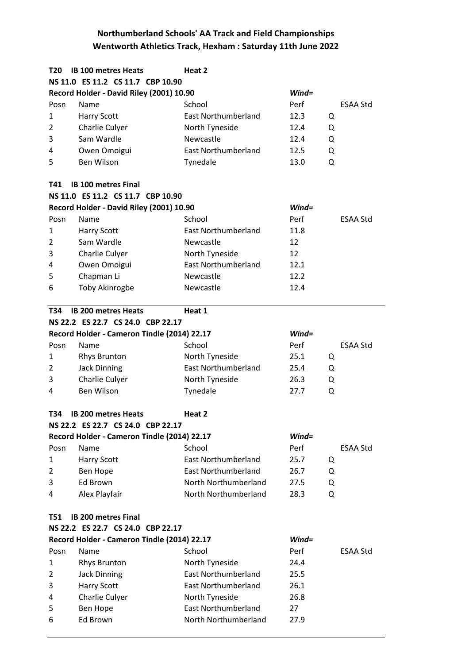| T20            | <b>IB 100 metres Heats</b>                  | Heat 2                     |          |   |                 |
|----------------|---------------------------------------------|----------------------------|----------|---|-----------------|
|                | NS 11.0 ES 11.2 CS 11.7 CBP 10.90           |                            |          |   |                 |
|                | Record Holder - David Riley (2001) 10.90    |                            | $Wind =$ |   |                 |
| Posn           | Name                                        | School                     | Perf     |   | <b>ESAA Std</b> |
| 1              | <b>Harry Scott</b>                          | <b>East Northumberland</b> | 12.3     | Q |                 |
| 2              | Charlie Culyer                              | North Tyneside             | 12.4     | Q |                 |
| 3              | Sam Wardle                                  | Newcastle                  | 12.4     | Q |                 |
| 4              | Owen Omoigui                                | <b>East Northumberland</b> | 12.5     | Q |                 |
| 5              | <b>Ben Wilson</b>                           | Tynedale                   | 13.0     | Q |                 |
|                |                                             |                            |          |   |                 |
| T41            | <b>IB 100 metres Final</b>                  |                            |          |   |                 |
|                | NS 11.0 ES 11.2 CS 11.7 CBP 10.90           |                            |          |   |                 |
|                | Record Holder - David Riley (2001) 10.90    |                            | $Wind =$ |   |                 |
| Posn           | Name                                        | School                     | Perf     |   | <b>ESAA Std</b> |
| 1              | <b>Harry Scott</b>                          | <b>East Northumberland</b> | 11.8     |   |                 |
| 2              | Sam Wardle                                  | Newcastle                  | 12       |   |                 |
| 3              | Charlie Culyer                              | North Tyneside             | 12       |   |                 |
| 4              | Owen Omoigui                                | <b>East Northumberland</b> | 12.1     |   |                 |
| 5              | Chapman Li                                  | Newcastle                  | 12.2     |   |                 |
| 6              | Toby Akinrogbe                              | Newcastle                  | 12.4     |   |                 |
| <b>T34</b>     | <b>IB 200 metres Heats</b>                  | Heat 1                     |          |   |                 |
|                | NS 22.2 ES 22.7 CS 24.0 CBP 22.17           |                            |          |   |                 |
|                | Record Holder - Cameron Tindle (2014) 22.17 |                            | $Wind =$ |   |                 |
| Posn           | Name                                        | School                     | Perf     |   | <b>ESAA Std</b> |
| 1              | <b>Rhys Brunton</b>                         | North Tyneside             | 25.1     | Q |                 |
| $\overline{2}$ | <b>Jack Dinning</b>                         | <b>East Northumberland</b> | 25.4     | Q |                 |
| 3              | Charlie Culyer                              | North Tyneside             | 26.3     | Q |                 |
| 4              | Ben Wilson                                  | Tynedale                   | 27.7     | Q |                 |
|                |                                             |                            |          |   |                 |
| T34            | <b>IB 200 metres Heats</b>                  | Heat 2                     |          |   |                 |
|                | NS 22.2 ES 22.7 CS 24.0 CBP 22.17           |                            |          |   |                 |
|                | Record Holder - Cameron Tindle (2014) 22.17 |                            | $Wind =$ |   |                 |
| Posn           | Name                                        | School                     | Perf     |   | ESAA Std        |
| 1              | <b>Harry Scott</b>                          | <b>East Northumberland</b> | 25.7     | Q |                 |
| 2              | Ben Hope                                    | <b>East Northumberland</b> | 26.7     | Q |                 |
| 3              | Ed Brown                                    | North Northumberland       | 27.5     | Q |                 |
| 4              | Alex Playfair                               | North Northumberland       | 28.3     | Q |                 |
| <b>T51</b>     | <b>IB 200 metres Final</b>                  |                            |          |   |                 |
|                | NS 22.2 ES 22.7 CS 24.0 CBP 22.17           |                            |          |   |                 |
|                | Record Holder - Cameron Tindle (2014) 22.17 |                            | $Wind =$ |   |                 |
| Posn           | Name                                        | School                     | Perf     |   | ESAA Std        |
| 1              | <b>Rhys Brunton</b>                         | North Tyneside             | 24.4     |   |                 |
| 2              | <b>Jack Dinning</b>                         | <b>East Northumberland</b> | 25.5     |   |                 |
| 3              | <b>Harry Scott</b>                          | <b>East Northumberland</b> | 26.1     |   |                 |
| 4              | Charlie Culyer                              | North Tyneside             | 26.8     |   |                 |
| 5              | Ben Hope                                    | <b>East Northumberland</b> | 27       |   |                 |
| 6              | Ed Brown                                    | North Northumberland       | 27.9     |   |                 |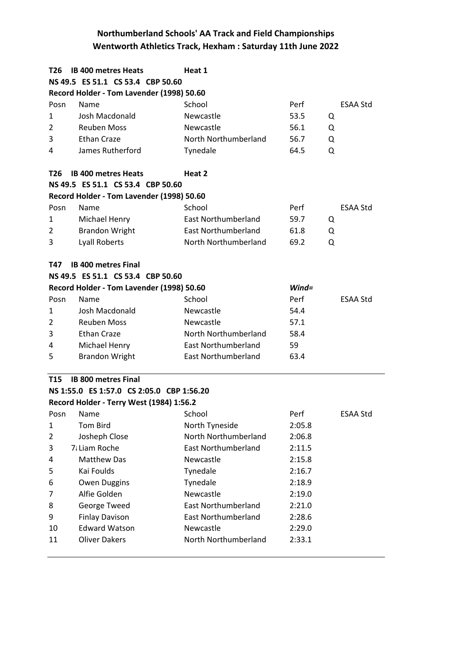| T26             | <b>IB 400 metres Heats</b>                | Heat 1                     |           |                 |  |  |
|-----------------|-------------------------------------------|----------------------------|-----------|-----------------|--|--|
|                 | NS 49.5 ES 51.1 CS 53.4 CBP 50.60         |                            |           |                 |  |  |
|                 | Record Holder - Tom Lavender (1998) 50.60 |                            |           |                 |  |  |
| Posn            | Name                                      | School                     | Perf      | <b>ESAA Std</b> |  |  |
| 1               | Josh Macdonald                            | Newcastle                  | 53.5<br>Q |                 |  |  |
| $\overline{2}$  | <b>Reuben Moss</b>                        | Newcastle                  | 56.1<br>Q |                 |  |  |
| 3               | <b>Ethan Craze</b>                        | North Northumberland       | 56.7<br>Q |                 |  |  |
| 4               | James Rutherford                          | Tynedale                   | 64.5<br>Q |                 |  |  |
| T26             | <b>IB 400 metres Heats</b>                | Heat 2                     |           |                 |  |  |
|                 | NS 49.5 ES 51.1 CS 53.4 CBP 50.60         |                            |           |                 |  |  |
|                 | Record Holder - Tom Lavender (1998) 50.60 |                            |           |                 |  |  |
| Posn            | Name                                      | School                     | Perf      | ESAA Std        |  |  |
| 1               | Michael Henry                             | East Northumberland        | 59.7<br>Q |                 |  |  |
| 2               | <b>Brandon Wright</b>                     | <b>East Northumberland</b> | 61.8<br>Q |                 |  |  |
| 3               | <b>Lyall Roberts</b>                      | North Northumberland       | 69.2<br>Q |                 |  |  |
| T47             | <b>IB 400 metres Final</b>                |                            |           |                 |  |  |
|                 | NS 49.5 ES 51.1 CS 53.4 CBP 50.60         |                            |           |                 |  |  |
|                 | Record Holder - Tom Lavender (1998) 50.60 |                            | $Wind =$  |                 |  |  |
| Posn            | Name                                      | School                     | Perf      | <b>ESAA Std</b> |  |  |
| 1               | Josh Macdonald                            | Newcastle                  | 54.4      |                 |  |  |
| 2               | <b>Reuben Moss</b>                        | Newcastle                  | 57.1      |                 |  |  |
| 3               | <b>Ethan Craze</b>                        | North Northumberland       | 58.4      |                 |  |  |
| 4               | Michael Henry                             | <b>East Northumberland</b> | 59        |                 |  |  |
| 5               | <b>Brandon Wright</b>                     | <b>East Northumberland</b> | 63.4      |                 |  |  |
| T <sub>15</sub> | <b>IB 800 metres Final</b>                |                            |           |                 |  |  |
|                 | NS 1:55.0 ES 1:57.0 CS 2:05.0 CBP 1:56.20 |                            |           |                 |  |  |
|                 | Record Holder - Terry West (1984) 1:56.2  |                            |           |                 |  |  |
| Posn            | Name                                      | School                     | Perf      | <b>ESAA Std</b> |  |  |
| $\mathbf{1}$    | <b>Tom Bird</b>                           | North Tyneside             | 2:05.8    |                 |  |  |
| 2               | Josheph Close                             | North Northumberland       | 2:06.8    |                 |  |  |
| 3               | 7. Liam Roche                             | <b>East Northumberland</b> | 2:11.5    |                 |  |  |
| 4               | <b>Matthew Das</b>                        | Newcastle                  | 2:15.8    |                 |  |  |
| 5               | Kai Foulds                                | Tynedale                   | 2:16.7    |                 |  |  |
| 6               | Owen Duggins                              | Tynedale                   | 2:18.9    |                 |  |  |
| 7               | Alfie Golden                              | Newcastle                  | 2:19.0    |                 |  |  |
| 8               | George Tweed                              | <b>East Northumberland</b> | 2:21.0    |                 |  |  |
| 9               | <b>Finlay Davison</b>                     | <b>East Northumberland</b> | 2:28.6    |                 |  |  |
| 10              | <b>Edward Watson</b>                      | Newcastle                  | 2:29.0    |                 |  |  |
| 11              | <b>Oliver Dakers</b>                      | North Northumberland       | 2:33.1    |                 |  |  |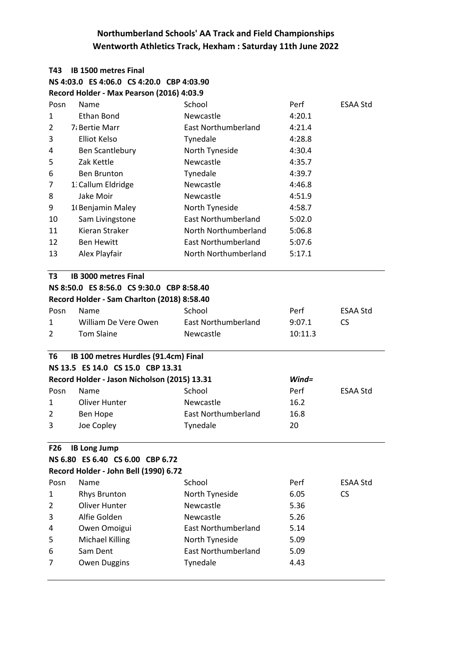### **T43 IB 1500 metres Final NS 4:03.0 ES 4:06.0 CS 4:20.0 CBP 4:03.90 Record Holder - Max Pearson (2016) 4:03.9**

| T3           | IB 3000 metres Final |                      |        |                 |
|--------------|----------------------|----------------------|--------|-----------------|
| 13           | Alex Playfair        | North Northumberland | 5:17.1 |                 |
| 12           | <b>Ben Hewitt</b>    | East Northumberland  | 5:07.6 |                 |
| 11           | Kieran Straker       | North Northumberland | 5:06.8 |                 |
| 10           | Sam Livingstone      | East Northumberland  | 5:02.0 |                 |
| 9            | 10 Benjamin Maley    | North Tyneside       | 4:58.7 |                 |
| 8            | Jake Moir            | <b>Newcastle</b>     | 4:51.9 |                 |
| 7            | 1. Callum Eldridge   | <b>Newcastle</b>     | 4:46.8 |                 |
| 6            | <b>Ben Brunton</b>   | Tynedale             | 4:39.7 |                 |
| 5            | Zak Kettle           | <b>Newcastle</b>     | 4:35.7 |                 |
| 4            | Ben Scantlebury      | North Tyneside       | 4:30.4 |                 |
| 3            | Elliot Kelso         | Tynedale             | 4:28.8 |                 |
| 2            | 7. Bertie Marr       | East Northumberland  | 4:21.4 |                 |
| $\mathbf{1}$ | Ethan Bond           | <b>Newcastle</b>     | 4:20.1 |                 |
| Posn         | <b>Name</b>          | School               | Perf   | <b>ESAA Std</b> |

#### **NS 8:50.0 ES 8:56.0 CS 9:30.0 CBP 8:58.40 Record Holder - Sam Charlton (2018) 8:58.40**

| Record Holder - Sam Charlton (2018) 8:58.40 |                      |                     |         |          |  |
|---------------------------------------------|----------------------|---------------------|---------|----------|--|
| Posn                                        | Name.                | School              | Perf    | ESAA Std |  |
| 1                                           | William De Vere Owen | East Northumberland | 9:07.1  | CS.      |  |
| $\mathcal{P}$                               | Tom Slaine           | Newcastle           | 10:11.3 |          |  |

### **T6 IB 100 metres Hurdles (91.4cm) Final NS 13.5 ES 14.0 CS 15.0 CBP 13.31 Record Holder - Jason Nicholson (2015) 13.31** *Wind=* Posn Name School School Perf ESAA Std 1 1 Oliver Hunter 16.2 2 Ben Hope East Northumberland 16.8 3 Joe Copley Tynedale 20

# **F26 IB Long Jump**

|  | NS 6.80 ES 6.40 CS 6.00 CBP 6.72      |
|--|---------------------------------------|
|  | Record Holder - John Rell (1990) 6 72 |

|      | <u>RECOLU HUIUEI - JUIIII DEII (1990) 0.72</u> |                            |      |          |  |
|------|------------------------------------------------|----------------------------|------|----------|--|
| Posn | Name                                           | School                     | Perf | ESAA Std |  |
| 1    | <b>Rhys Brunton</b>                            | North Tyneside             | 6.05 | CS.      |  |
| 2    | Oliver Hunter                                  | Newcastle                  | 5.36 |          |  |
| 3    | Alfie Golden                                   | Newcastle                  | 5.26 |          |  |
| 4    | Owen Omoigui                                   | <b>East Northumberland</b> | 5.14 |          |  |
| 5    | <b>Michael Killing</b>                         | North Tyneside             | 5.09 |          |  |
| 6    | Sam Dent                                       | East Northumberland        | 5.09 |          |  |
| 7    | Owen Duggins                                   | Tynedale                   | 4.43 |          |  |
|      |                                                |                            |      |          |  |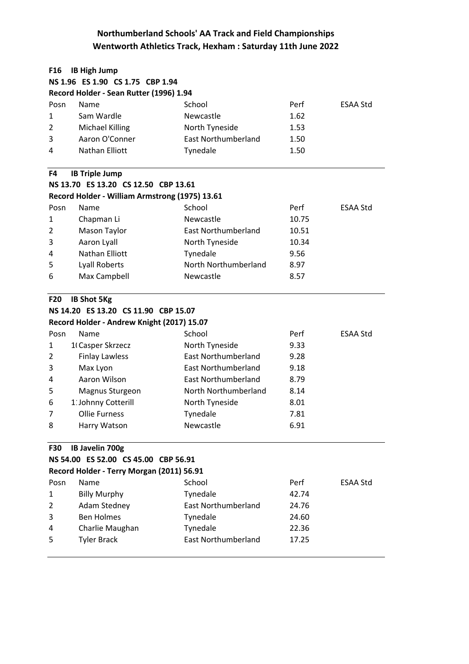| F16        | <b>IB High Jump</b>                            |                            |       |                 |
|------------|------------------------------------------------|----------------------------|-------|-----------------|
|            | NS 1.96 ES 1.90 CS 1.75 CBP 1.94               |                            |       |                 |
|            | Record Holder - Sean Rutter (1996) 1.94        |                            |       |                 |
| Posn       | Name                                           | School                     | Perf  | <b>ESAA Std</b> |
| 1          | Sam Wardle                                     | Newcastle                  | 1.62  |                 |
| 2          | <b>Michael Killing</b>                         | North Tyneside             | 1.53  |                 |
| 3          | Aaron O'Conner                                 | <b>East Northumberland</b> | 1.50  |                 |
| 4          | <b>Nathan Elliott</b>                          | Tynedale                   | 1.50  |                 |
| F4         | <b>IB Triple Jump</b>                          |                            |       |                 |
|            | NS 13.70 ES 13.20 CS 12.50 CBP 13.61           |                            |       |                 |
|            | Record Holder - William Armstrong (1975) 13.61 |                            |       |                 |
| Posn       | Name                                           | School                     | Perf  | <b>ESAA Std</b> |
| 1          | Chapman Li                                     | Newcastle                  | 10.75 |                 |
| 2          | Mason Taylor                                   | <b>East Northumberland</b> | 10.51 |                 |
| 3          | Aaron Lyall                                    | North Tyneside             | 10.34 |                 |
| 4          | Nathan Elliott                                 | Tynedale                   | 9.56  |                 |
| 5          | <b>Lyall Roberts</b>                           | North Northumberland       | 8.97  |                 |
| 6          | Max Campbell                                   | Newcastle                  | 8.57  |                 |
| <b>F20</b> | <b>IB Shot 5Kg</b>                             |                            |       |                 |
|            | NS 14.20 ES 13.20 CS 11.90 CBP 15.07           |                            |       |                 |
|            | Record Holder - Andrew Knight (2017) 15.07     |                            |       |                 |
| Posn       | Name                                           | School                     | Perf  | <b>ESAA Std</b> |
| 1          | 10 Casper Skrzecz                              | North Tyneside             | 9.33  |                 |
| 2          | <b>Finlay Lawless</b>                          | <b>East Northumberland</b> | 9.28  |                 |
| 3          | Max Lyon                                       | <b>East Northumberland</b> | 9.18  |                 |
| 4          | Aaron Wilson                                   | <b>East Northumberland</b> | 8.79  |                 |
| 5          | Magnus Sturgeon                                | North Northumberland       | 8.14  |                 |
| 6          | 1: Johnny Cotterill                            | North Tyneside             | 8.01  |                 |
| 7          | <b>Ollie Furness</b>                           | Tynedale                   | 7.81  |                 |
| 8          | Harry Watson                                   | Newcastle                  | 6.91  |                 |
| <b>F30</b> | <b>IB Javelin 700g</b>                         |                            |       |                 |
|            | NS 54.00 ES 52.00 CS 45.00 CBP 56.91           |                            |       |                 |
|            | Record Holder - Terry Morgan (2011) 56.91      |                            |       |                 |
| Posn       | Name                                           | School                     | Perf  | ESAA Std        |
| 1          | <b>Billy Murphy</b>                            | Tynedale                   | 42.74 |                 |
| 2          | <b>Adam Stedney</b>                            | <b>East Northumberland</b> | 24.76 |                 |
| 3          | <b>Ben Holmes</b>                              | Tynedale                   | 24.60 |                 |
| 4          | Charlie Maughan                                | Tynedale                   | 22.36 |                 |
| 5          | <b>Tyler Brack</b>                             | <b>East Northumberland</b> | 17.25 |                 |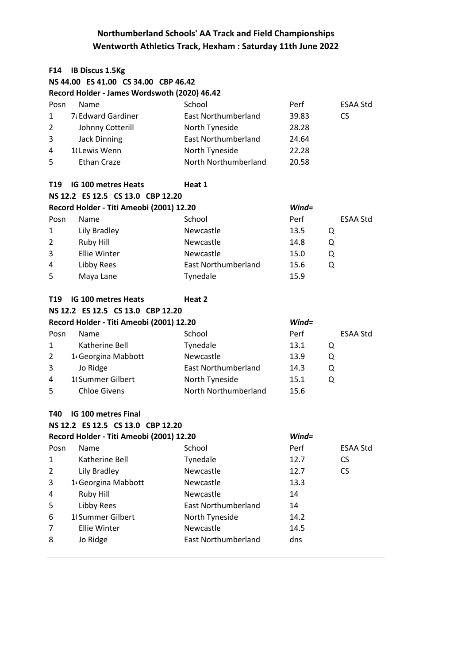| F14             | <b>IB Discus 1.5Kg</b>                       |                            |           |                 |
|-----------------|----------------------------------------------|----------------------------|-----------|-----------------|
|                 | NS 44.00 ES 41.00 CS 34.00 CBP 46.42         |                            |           |                 |
|                 | Record Holder - James Wordswoth (2020) 46.42 |                            |           |                 |
| Posn            | Name                                         | School                     | Perf      | <b>ESAA Std</b> |
| 1               | 7: Edward Gardiner                           | <b>East Northumberland</b> | 39.83     | <b>CS</b>       |
| 2               | Johnny Cotterill                             | North Tyneside             | 28.28     |                 |
| 3               | <b>Jack Dinning</b>                          | <b>East Northumberland</b> | 24.64     |                 |
| 4               | 10Lewis Wenn                                 | North Tyneside             | 22.28     |                 |
| 5               | <b>Ethan Craze</b>                           | North Northumberland       | 20.58     |                 |
| T <sub>19</sub> | <b>IG 100 metres Heats</b>                   | Heat 1                     |           |                 |
|                 | NS 12.2 ES 12.5 CS 13.0 CBP 12.20            |                            |           |                 |
|                 | Record Holder - Titi Ameobi (2001) 12.20     |                            | $Wind =$  |                 |
| Posn            | Name                                         | School                     | Perf      | <b>ESAA Std</b> |
| 1               | Lily Bradley                                 | Newcastle                  | 13.5<br>Q |                 |
| 2               | Ruby Hill                                    | Newcastle                  | 14.8<br>Q |                 |
| 3               | <b>Ellie Winter</b>                          | Newcastle                  | 15.0<br>Q |                 |
| 4               | Libby Rees                                   | <b>East Northumberland</b> | Q<br>15.6 |                 |
| 5               | Maya Lane                                    | Tynedale                   | 15.9      |                 |
| T19             | <b>IG 100 metres Heats</b>                   | Heat 2                     |           |                 |
|                 | NS 12.2 ES 12.5 CS 13.0 CBP 12.20            |                            |           |                 |
|                 | Record Holder - Titi Ameobi (2001) 12.20     |                            | $Wind =$  |                 |
| Posn            | Name                                         | School                     | Perf      | <b>ESAA Std</b> |
| 1               | Katherine Bell                               | Tynedale                   | 13.1<br>Q |                 |
| 2               | 1 <sup>,</sup> Georgina Mabbott              | Newcastle                  | 13.9<br>Q |                 |
| 3               | Jo Ridge                                     | <b>East Northumberland</b> | 14.3<br>Q |                 |
| 4               | 1 Summer Gilbert                             | North Tyneside             | 15.1<br>Q |                 |
| 5               | <b>Chloe Givens</b>                          | North Northumberland       | 15.6      |                 |
| T40             | <b>IG 100 metres Final</b>                   |                            |           |                 |
|                 | NS 12.2 ES 12.5 CS 13.0 CBP 12.20            |                            |           |                 |
|                 | Record Holder - Titi Ameobi (2001) 12.20     |                            | $Wind =$  |                 |
| Posn            | Name                                         | School                     | Perf      | <b>ESAA Std</b> |
| 1               | Katherine Bell                               | Tynedale                   | 12.7      | <b>CS</b>       |
| 2               | Lily Bradley                                 | Newcastle                  | 12.7      | <b>CS</b>       |
| 3               | 1 <sup>,</sup> Georgina Mabbott              | Newcastle                  | 13.3      |                 |
| 4               | Ruby Hill                                    | Newcastle                  | 14        |                 |
| 5               | Libby Rees                                   | <b>East Northumberland</b> | 14        |                 |
| 6               | 1 Summer Gilbert                             | North Tyneside             | 14.2      |                 |
| 7               | Ellie Winter                                 | Newcastle                  | 14.5      |                 |
| 8               | Jo Ridge                                     | <b>East Northumberland</b> | dns       |                 |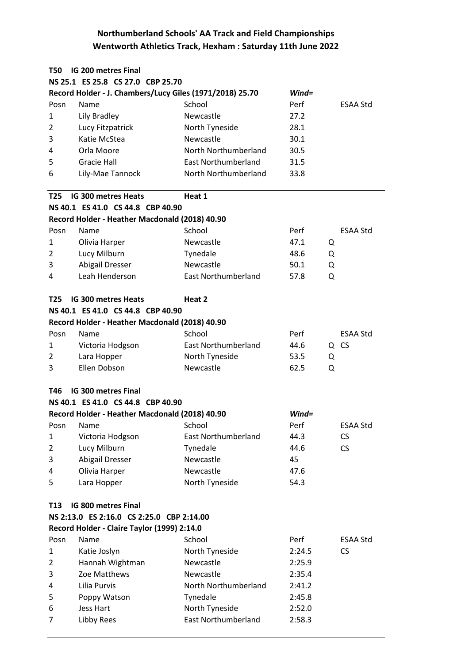| T50             | <b>IG 200 metres Final</b>                               |                            |           |                 |
|-----------------|----------------------------------------------------------|----------------------------|-----------|-----------------|
|                 | NS 25.1 ES 25.8 CS 27.0 CBP 25.70                        |                            |           |                 |
|                 | Record Holder - J. Chambers/Lucy Giles (1971/2018) 25.70 |                            | $Wind =$  |                 |
| Posn            | Name                                                     | School                     | Perf      | ESAA Std        |
| 1               | Lily Bradley                                             | Newcastle                  | 27.2      |                 |
| $\overline{2}$  | Lucy Fitzpatrick                                         | North Tyneside             | 28.1      |                 |
| 3               | Katie McStea                                             | Newcastle                  | 30.1      |                 |
| 4               | Orla Moore                                               | North Northumberland       | 30.5      |                 |
| 5               | <b>Gracie Hall</b>                                       | <b>East Northumberland</b> | 31.5      |                 |
| 6               | Lily-Mae Tannock                                         | North Northumberland       | 33.8      |                 |
| T <sub>25</sub> | <b>IG 300 metres Heats</b>                               | Heat 1                     |           |                 |
|                 | NS 40.1 ES 41.0 CS 44.8 CBP 40.90                        |                            |           |                 |
|                 | Record Holder - Heather Macdonald (2018) 40.90           |                            |           |                 |
| Posn            | Name                                                     | School                     | Perf      | ESAA Std        |
| 1               | Olivia Harper                                            | Newcastle                  | 47.1      | Q               |
| $\overline{2}$  | Lucy Milburn                                             | Tynedale                   | 48.6      | Q               |
| 3               | <b>Abigail Dresser</b>                                   | Newcastle                  | 50.1      | Q               |
| 4               | Leah Henderson                                           | <b>East Northumberland</b> | Q<br>57.8 |                 |
| T25             | IG 300 metres Heats                                      | Heat 2                     |           |                 |
|                 | NS 40.1 ES 41.0 CS 44.8 CBP 40.90                        |                            |           |                 |
|                 | Record Holder - Heather Macdonald (2018) 40.90           |                            |           |                 |
| Posn            | Name                                                     | School                     | Perf      | <b>ESAA Std</b> |
| 1               | Victoria Hodgson                                         | <b>East Northumberland</b> | 44.6      | Q CS            |
| 2               | Lara Hopper                                              | North Tyneside             | 53.5      | Q               |
| 3               | Ellen Dobson                                             | Newcastle                  | 62.5      | Q               |
| T46             | <b>IG 300 metres Final</b>                               |                            |           |                 |
|                 | NS 40.1 ES 41.0 CS 44.8 CBP 40.90                        |                            |           |                 |
|                 | Record Holder - Heather Macdonald (2018) 40.90           |                            | $Wind =$  |                 |
| Posn            | Name                                                     | School                     | Perf      | <b>ESAA Std</b> |
| 1               | Victoria Hodgson                                         | <b>East Northumberland</b> | 44.3      | <b>CS</b>       |
| $\overline{2}$  | Lucy Milburn                                             | Tynedale                   | 44.6      | <b>CS</b>       |
| 3               | Abigail Dresser                                          | Newcastle                  | 45        |                 |
| 4               | Olivia Harper                                            | Newcastle                  | 47.6      |                 |
| 5               | Lara Hopper                                              | North Tyneside             | 54.3      |                 |
| T <sub>13</sub> | IG 800 metres Final                                      |                            |           |                 |
|                 | NS 2:13.0 ES 2:16.0 CS 2:25.0 CBP 2:14.00                |                            |           |                 |
|                 | Record Holder - Claire Taylor (1999) 2:14.0              |                            |           |                 |
| Posn            | Name                                                     | School                     | Perf      | ESAA Std        |
| 1               | Katie Joslyn                                             | North Tyneside             | 2:24.5    | <b>CS</b>       |
| $\overline{2}$  | Hannah Wightman                                          | Newcastle                  | 2:25.9    |                 |
| 3               | Zoe Matthews                                             | Newcastle                  | 2:35.4    |                 |
| 4               | Lilia Purvis                                             | North Northumberland       | 2:41.2    |                 |
| 5               | Poppy Watson                                             | Tynedale                   | 2:45.8    |                 |
| 6               | Jess Hart                                                | North Tyneside             | 2:52.0    |                 |
| 7               | Libby Rees                                               | <b>East Northumberland</b> | 2:58.3    |                 |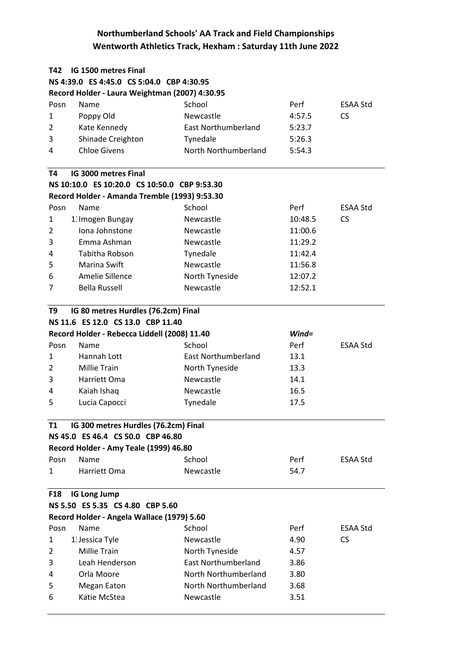| T42                               | <b>IG 1500 metres Final</b>                    |                            |          |                 |  |  |  |
|-----------------------------------|------------------------------------------------|----------------------------|----------|-----------------|--|--|--|
|                                   | NS 4:39.0 ES 4:45.0 CS 5:04.0 CBP 4:30.95      |                            |          |                 |  |  |  |
|                                   | Record Holder - Laura Weightman (2007) 4:30.95 |                            |          |                 |  |  |  |
| Posn                              | Name                                           | School                     | Perf     | ESAA Std        |  |  |  |
| 1                                 | Poppy Old                                      | Newcastle                  | 4:57.5   | <b>CS</b>       |  |  |  |
| $\overline{2}$                    | Kate Kennedy                                   | <b>East Northumberland</b> | 5:23.7   |                 |  |  |  |
| 3                                 | Shinade Creighton                              | Tynedale                   | 5:26.3   |                 |  |  |  |
| 4                                 | <b>Chloe Givens</b>                            | North Northumberland       | 5:54.3   |                 |  |  |  |
| T4                                | IG 3000 metres Final                           |                            |          |                 |  |  |  |
|                                   | NS 10:10.0 ES 10:20.0 CS 10:50.0 CBP 9:53.30   |                            |          |                 |  |  |  |
|                                   | Record Holder - Amanda Tremble (1993) 9:53.30  |                            |          |                 |  |  |  |
| Posn                              | Name                                           | School                     | Perf     | <b>ESAA Std</b> |  |  |  |
| 1                                 | 1. Imogen Bungay                               | Newcastle                  | 10:48.5  | <b>CS</b>       |  |  |  |
| 2                                 | Iona Johnstone                                 | Newcastle                  | 11:00.6  |                 |  |  |  |
| 3                                 | Emma Ashman                                    | Newcastle                  | 11:29.2  |                 |  |  |  |
| 4                                 | Tabitha Robson                                 | Tynedale                   | 11:42.4  |                 |  |  |  |
| 5                                 | Marina Swift                                   | Newcastle                  | 11:56.8  |                 |  |  |  |
| 6                                 | Amelie Sillence                                | North Tyneside             | 12:07.2  |                 |  |  |  |
| 7                                 | <b>Bella Russell</b>                           | Newcastle                  | 12:52.1  |                 |  |  |  |
| T9                                | IG 80 metres Hurdles (76.2cm) Final            |                            |          |                 |  |  |  |
|                                   | NS 11.6 ES 12.0 CS 13.0 CBP 11.40              |                            |          |                 |  |  |  |
|                                   | Record Holder - Rebecca Liddell (2008) 11.40   |                            | $Wind =$ |                 |  |  |  |
| Posn                              | Name                                           | School                     | Perf     | <b>ESAA Std</b> |  |  |  |
| $\mathbf{1}$                      | Hannah Lott                                    | <b>East Northumberland</b> | 13.1     |                 |  |  |  |
| $\overline{2}$                    | <b>Millie Train</b>                            | North Tyneside             | 13.3     |                 |  |  |  |
| 3                                 | Harriett Oma                                   | Newcastle                  | 14.1     |                 |  |  |  |
| 4                                 | Kaiah Ishaq                                    | Newcastle                  | 16.5     |                 |  |  |  |
| 5                                 | Lucia Capocci                                  | Tynedale                   | 17.5     |                 |  |  |  |
| T1                                | IG 300 metres Hurdles (76.2cm) Final           |                            |          |                 |  |  |  |
|                                   | NS 45.0 ES 46.4 CS 50.0 CBP 46.80              |                            |          |                 |  |  |  |
|                                   | Record Holder - Amy Teale (1999) 46.80         |                            |          |                 |  |  |  |
| Posn                              | Name                                           | School                     | Perf     | ESAA Std        |  |  |  |
| 1                                 | Harriett Oma                                   | Newcastle                  | 54.7     |                 |  |  |  |
| <b>IG Long Jump</b><br><b>F18</b> |                                                |                            |          |                 |  |  |  |
|                                   | NS 5.50 ES 5.35 CS 4.80 CBP 5.60               |                            |          |                 |  |  |  |
|                                   | Record Holder - Angela Wallace (1979) 5.60     |                            |          |                 |  |  |  |
| Posn                              | Name                                           | School                     | Perf     | <b>ESAA Std</b> |  |  |  |
| 1                                 | 1. Jessica Tyle                                | Newcastle                  | 4.90     | <b>CS</b>       |  |  |  |
| 2                                 | <b>Millie Train</b>                            | North Tyneside             | 4.57     |                 |  |  |  |
| 3                                 | Leah Henderson                                 | <b>East Northumberland</b> | 3.86     |                 |  |  |  |
| 4                                 | Orla Moore                                     | North Northumberland       | 3.80     |                 |  |  |  |
| 5                                 | <b>Megan Eaton</b>                             | North Northumberland       | 3.68     |                 |  |  |  |
| 6                                 | Katie McStea                                   | Newcastle                  | 3.51     |                 |  |  |  |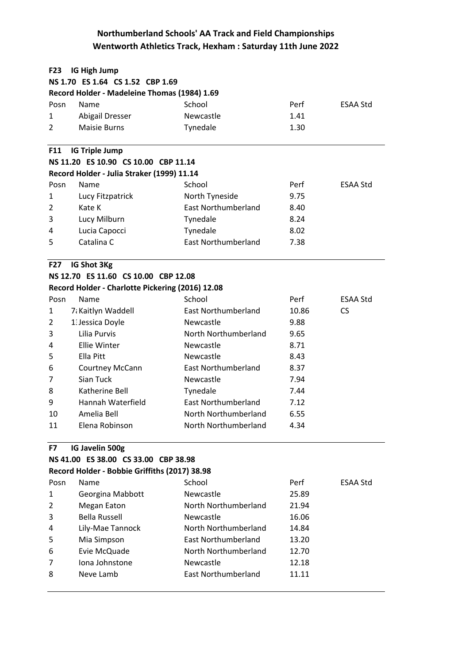| <b>F23</b>     | <b>IG High Jump</b>                              |                            |       |                 |
|----------------|--------------------------------------------------|----------------------------|-------|-----------------|
|                | NS 1.70 ES 1.64 CS 1.52 CBP 1.69                 |                            |       |                 |
|                | Record Holder - Madeleine Thomas (1984) 1.69     |                            |       |                 |
| Posn           | Name                                             | School                     | Perf  | ESAA Std        |
| 1              | <b>Abigail Dresser</b>                           | Newcastle                  | 1.41  |                 |
| $\overline{2}$ | <b>Maisie Burns</b>                              | Tynedale                   | 1.30  |                 |
| <b>F11</b>     | <b>IG Triple Jump</b>                            |                            |       |                 |
|                | NS 11.20 ES 10.90 CS 10.00 CBP 11.14             |                            |       |                 |
|                | Record Holder - Julia Straker (1999) 11.14       |                            |       |                 |
| Posn           | Name                                             | School                     | Perf  | ESAA Std        |
| 1              | Lucy Fitzpatrick                                 | North Tyneside             | 9.75  |                 |
| 2              | Kate K                                           | <b>East Northumberland</b> | 8.40  |                 |
| 3              | Lucy Milburn                                     | Tynedale                   | 8.24  |                 |
| 4              | Lucia Capocci                                    | Tynedale                   | 8.02  |                 |
| 5              | Catalina C                                       | <b>East Northumberland</b> |       |                 |
|                |                                                  |                            | 7.38  |                 |
| <b>F27</b>     | IG Shot 3Kg                                      |                            |       |                 |
|                | NS 12.70 ES 11.60 CS 10.00 CBP 12.08             |                            |       |                 |
|                | Record Holder - Charlotte Pickering (2016) 12.08 |                            |       |                 |
| Posn           | Name                                             | School                     | Perf  | <b>ESAA Std</b> |
| 1              | 7: Kaitlyn Waddell                               | <b>East Northumberland</b> | 10.86 | <b>CS</b>       |
| 2              | 1. Jessica Doyle                                 | Newcastle                  | 9.88  |                 |
| 3              | Lilia Purvis                                     | North Northumberland       | 9.65  |                 |
| 4              | <b>Ellie Winter</b>                              | Newcastle                  | 8.71  |                 |
| 5              | Ella Pitt                                        | Newcastle                  | 8.43  |                 |
| 6              | <b>Courtney McCann</b>                           | <b>East Northumberland</b> | 8.37  |                 |
| 7              | Sian Tuck                                        | Newcastle                  | 7.94  |                 |
| 8              | Katherine Bell                                   | Tynedale                   | 7.44  |                 |
| 9              | Hannah Waterfield                                | <b>East Northumberland</b> | 7.12  |                 |
| 10             | Amelia Bell                                      | North Northumberland       | 6.55  |                 |
| 11             | Elena Robinson                                   | North Northumberland       | 4.34  |                 |
|                |                                                  |                            |       |                 |
| F7             | IG Javelin 500g                                  |                            |       |                 |
|                | NS 41.00 ES 38.00 CS 33.00 CBP 38.98             |                            |       |                 |
|                | Record Holder - Bobbie Griffiths (2017) 38.98    |                            |       |                 |
| Posn           | Name                                             | School                     | Perf  | ESAA Std        |
| 1              | Georgina Mabbott                                 | Newcastle                  | 25.89 |                 |
| 2              | Megan Eaton                                      | North Northumberland       | 21.94 |                 |
| 3              | <b>Bella Russell</b>                             | Newcastle                  | 16.06 |                 |
| 4              | Lily-Mae Tannock                                 | North Northumberland       | 14.84 |                 |
| 5              | Mia Simpson                                      | <b>East Northumberland</b> | 13.20 |                 |
| 6              | Evie McQuade                                     | North Northumberland       | 12.70 |                 |
| 7              | Iona Johnstone                                   | Newcastle                  | 12.18 |                 |
| 8              | Neve Lamb                                        | <b>East Northumberland</b> | 11.11 |                 |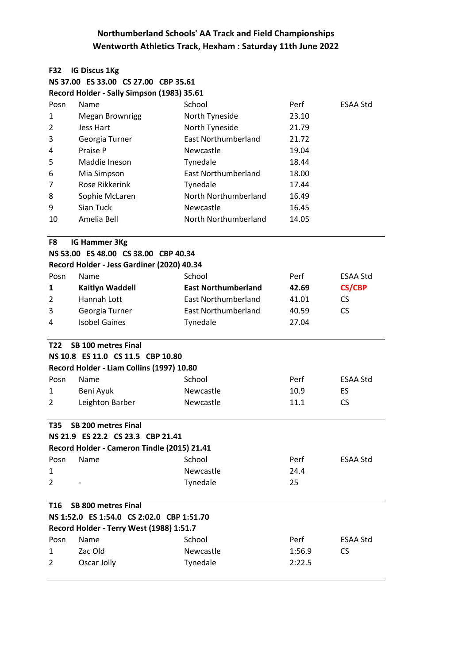| <b>F32</b>     | <b>IG Discus 1Kg</b>                        |                            |        |                 |
|----------------|---------------------------------------------|----------------------------|--------|-----------------|
|                | NS 37.00 ES 33.00 CS 27.00 CBP 35.61        |                            |        |                 |
|                | Record Holder - Sally Simpson (1983) 35.61  |                            |        |                 |
| Posn           | Name                                        | School                     | Perf   | <b>ESAA Std</b> |
| 1              | <b>Megan Brownrigg</b>                      | North Tyneside             | 23.10  |                 |
| $\overline{2}$ | Jess Hart                                   | North Tyneside             | 21.79  |                 |
| 3              | Georgia Turner                              | <b>East Northumberland</b> | 21.72  |                 |
| 4              | Praise P                                    | Newcastle                  | 19.04  |                 |
| 5              | Maddie Ineson                               | Tynedale                   | 18.44  |                 |
| 6              | Mia Simpson                                 | <b>East Northumberland</b> | 18.00  |                 |
| 7              | Rose Rikkerink                              | Tynedale                   | 17.44  |                 |
| 8              | Sophie McLaren                              | North Northumberland       | 16.49  |                 |
| 9              | Sian Tuck                                   | Newcastle                  | 16.45  |                 |
| 10             | Amelia Bell                                 | North Northumberland       | 14.05  |                 |
| F8             | IG Hammer 3Kg                               |                            |        |                 |
|                | NS 53.00 ES 48.00 CS 38.00 CBP 40.34        |                            |        |                 |
|                | Record Holder - Jess Gardiner (2020) 40.34  |                            |        |                 |
| Posn           | Name                                        | School                     | Perf   | <b>ESAA Std</b> |
| 1              | <b>Kaitlyn Waddell</b>                      | <b>East Northumberland</b> | 42.69  | <b>CS/CBP</b>   |
| 2              | Hannah Lott                                 | <b>East Northumberland</b> | 41.01  | CS.             |
| 3              | Georgia Turner                              | <b>East Northumberland</b> | 40.59  | <b>CS</b>       |
| 4              | <b>Isobel Gaines</b>                        | Tynedale                   | 27.04  |                 |
| T22            | <b>SB 100 metres Final</b>                  |                            |        |                 |
|                | NS 10.8 ES 11.0 CS 11.5 CBP 10.80           |                            |        |                 |
|                | Record Holder - Liam Collins (1997) 10.80   |                            |        |                 |
| Posn           | Name                                        | School                     | Perf   | <b>ESAA Std</b> |
| 1              | Beni Ayuk                                   | Newcastle                  | 10.9   | ES.             |
| 2              | Leighton Barber                             | Newcastle                  | 11.1   | <b>CS</b>       |
| T35            | <b>SB 200 metres Final</b>                  |                            |        |                 |
|                | NS 21.9 ES 22.2 CS 23.3 CBP 21.41           |                            |        |                 |
|                | Record Holder - Cameron Tindle (2015) 21.41 |                            |        |                 |
| Posn           | Name                                        | School                     | Perf   | <b>ESAA Std</b> |
| 1              |                                             | Newcastle                  | 24.4   |                 |
| 2              |                                             | Tynedale                   | 25     |                 |
| T16            | <b>SB 800 metres Final</b>                  |                            |        |                 |
|                | NS 1:52.0 ES 1:54.0 CS 2:02.0 CBP 1:51.70   |                            |        |                 |
|                | Record Holder - Terry West (1988) 1:51.7    |                            |        |                 |
| Posn           | Name                                        | School                     | Perf   | ESAA Std        |
| $\mathbf{1}$   | Zac Old                                     | Newcastle                  | 1:56.9 | <b>CS</b>       |
| 2              | Oscar Jolly                                 | Tynedale                   | 2:22.5 |                 |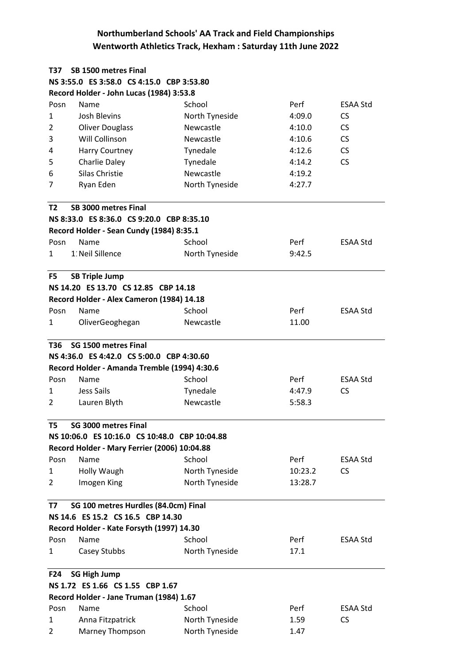| T37            | SB 1500 metres Final                          |                |         |                 |  |
|----------------|-----------------------------------------------|----------------|---------|-----------------|--|
|                | NS 3:55.0 ES 3:58.0 CS 4:15.0 CBP 3:53.80     |                |         |                 |  |
|                | Record Holder - John Lucas (1984) 3:53.8      |                |         |                 |  |
| Posn           | Name                                          | School         | Perf    | ESAA Std        |  |
| $\mathbf{1}$   | <b>Josh Blevins</b>                           | North Tyneside | 4:09.0  | <b>CS</b>       |  |
| $\overline{2}$ | <b>Oliver Douglass</b>                        | Newcastle      | 4:10.0  | <b>CS</b>       |  |
| 3              | Will Collinson                                | Newcastle      | 4:10.6  | <b>CS</b>       |  |
| 4              | <b>Harry Courtney</b>                         | Tynedale       | 4:12.6  | <b>CS</b>       |  |
| 5              | Charlie Daley                                 | Tynedale       | 4:14.2  | <b>CS</b>       |  |
| 6              | Silas Christie                                | Newcastle      | 4:19.2  |                 |  |
| 7              | Ryan Eden                                     | North Tyneside | 4:27.7  |                 |  |
|                |                                               |                |         |                 |  |
| T <sub>2</sub> | SB 3000 metres Final                          |                |         |                 |  |
|                | NS 8:33.0 ES 8:36.0 CS 9:20.0 CBP 8:35.10     |                |         |                 |  |
|                | Record Holder - Sean Cundy (1984) 8:35.1      |                |         |                 |  |
| Posn           | Name                                          | School         | Perf    | ESAA Std        |  |
| 1              | 1: Neil Sillence                              | North Tyneside | 9:42.5  |                 |  |
|                |                                               |                |         |                 |  |
| F <sub>5</sub> | <b>SB Triple Jump</b>                         |                |         |                 |  |
|                | NS 14.20 ES 13.70 CS 12.85 CBP 14.18          |                |         |                 |  |
|                | Record Holder - Alex Cameron (1984) 14.18     |                |         |                 |  |
| Posn           | Name                                          | School         | Perf    | <b>ESAA Std</b> |  |
| 1              | OliverGeoghegan                               | Newcastle      | 11.00   |                 |  |
|                |                                               |                |         |                 |  |
| T36            | SG 1500 metres Final                          |                |         |                 |  |
|                | NS 4:36.0 ES 4:42.0 CS 5:00.0 CBP 4:30.60     |                |         |                 |  |
|                | Record Holder - Amanda Tremble (1994) 4:30.6  |                |         |                 |  |
| Posn           | Name                                          | School         | Perf    | <b>ESAA Std</b> |  |
| 1              | Jess Sails                                    | Tynedale       | 4:47.9  | <b>CS</b>       |  |
| $\overline{2}$ | Lauren Blyth                                  | Newcastle      | 5:58.3  |                 |  |
|                |                                               |                |         |                 |  |
| T5             | SG 3000 metres Final                          |                |         |                 |  |
|                | NS 10:06.0 ES 10:16.0 CS 10:48.0 CBP 10:04.88 |                |         |                 |  |
|                | Record Holder - Mary Ferrier (2006) 10:04.88  |                |         |                 |  |
| Posn           | Name                                          | School         | Perf    | <b>ESAA Std</b> |  |
| 1              | Holly Waugh                                   | North Tyneside | 10:23.2 | <b>CS</b>       |  |
| 2              | Imogen King                                   | North Tyneside | 13:28.7 |                 |  |
|                |                                               |                |         |                 |  |
| T7             | SG 100 metres Hurdles (84.0cm) Final          |                |         |                 |  |
|                | NS 14.6 ES 15.2 CS 16.5 CBP 14.30             |                |         |                 |  |
|                | Record Holder - Kate Forsyth (1997) 14.30     |                |         |                 |  |
| Posn           | Name                                          | School         | Perf    | <b>ESAA Std</b> |  |
| 1              | Casey Stubbs                                  | North Tyneside | 17.1    |                 |  |
|                |                                               |                |         |                 |  |
| F24            | <b>SG High Jump</b>                           |                |         |                 |  |
|                | NS 1.72 ES 1.66 CS 1.55 CBP 1.67              |                |         |                 |  |
|                | Record Holder - Jane Truman (1984) 1.67       |                |         |                 |  |
| Posn           | Name                                          | School         | Perf    | <b>ESAA Std</b> |  |
| 1              | Anna Fitzpatrick                              | North Tyneside | 1.59    | <b>CS</b>       |  |
| $\overline{2}$ | Marney Thompson                               | North Tyneside | 1.47    |                 |  |